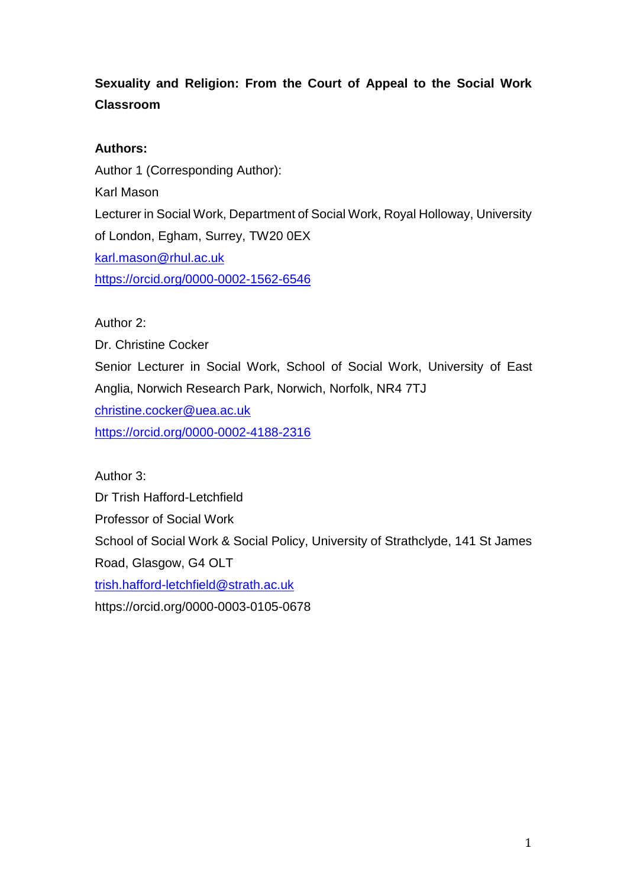# **Sexuality and Religion: From the Court of Appeal to the Social Work Classroom**

## **Authors:**

Author 1 (Corresponding Author): Karl Mason Lecturer in Social Work, Department of Social Work, Royal Holloway, University of London, Egham, Surrey, TW20 0EX [karl.mason@rhul.ac.uk](mailto:karl.mason@rhul.ac.uk) <https://orcid.org/0000-0002-1562-6546>

Author 2:

Dr. Christine Cocker Senior Lecturer in Social Work, School of Social Work, University of East Anglia, Norwich Research Park, Norwich, Norfolk, NR4 7TJ [christine.cocker@uea.ac.uk](mailto:christine.cocker@uea.ac.uk) <https://orcid.org/0000-0002-4188-2316>

Author 3: Dr Trish Hafford-Letchfield Professor of Social Work School of Social Work & Social Policy, University of Strathclyde, 141 St James Road, Glasgow, G4 OLT [trish.hafford-letchfield@strath.ac.uk](mailto:trish.hafford-letchfield@strath.ac.uk)

https://orcid.org/0000-0003-0105-0678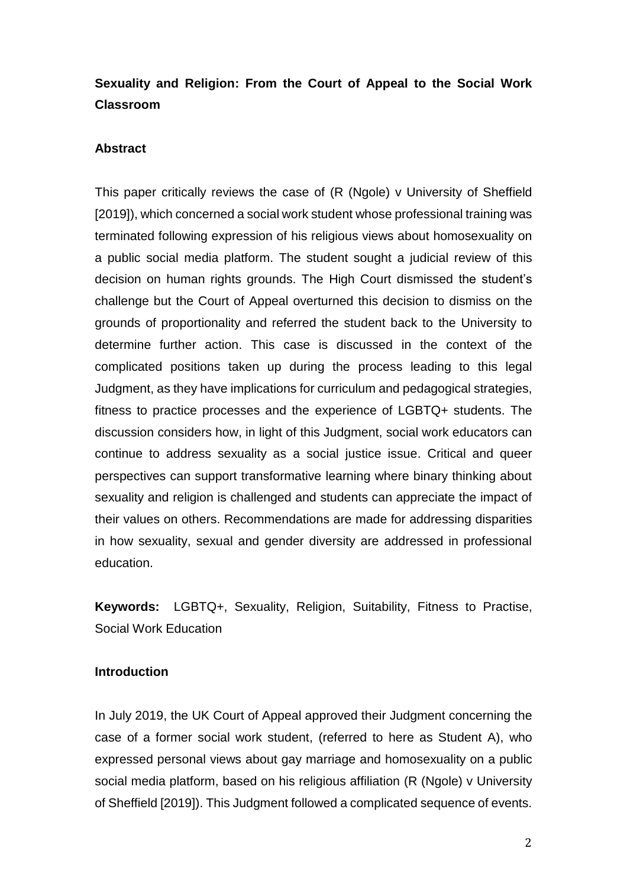## **Sexuality and Religion: From the Court of Appeal to the Social Work Classroom**

### **Abstract**

This paper critically reviews the case of (R (Ngole) v University of Sheffield [2019]), which concerned a social work student whose professional training was terminated following expression of his religious views about homosexuality on a public social media platform. The student sought a judicial review of this decision on human rights grounds. The High Court dismissed the student's challenge but the Court of Appeal overturned this decision to dismiss on the grounds of proportionality and referred the student back to the University to determine further action. This case is discussed in the context of the complicated positions taken up during the process leading to this legal Judgment, as they have implications for curriculum and pedagogical strategies, fitness to practice processes and the experience of LGBTQ+ students. The discussion considers how, in light of this Judgment, social work educators can continue to address sexuality as a social justice issue. Critical and queer perspectives can support transformative learning where binary thinking about sexuality and religion is challenged and students can appreciate the impact of their values on others. Recommendations are made for addressing disparities in how sexuality, sexual and gender diversity are addressed in professional education.

**Keywords:** LGBTQ+, Sexuality, Religion, Suitability, Fitness to Practise, Social Work Education

### **Introduction**

In July 2019, the UK Court of Appeal approved their Judgment concerning the case of a former social work student, (referred to here as Student A), who expressed personal views about gay marriage and homosexuality on a public social media platform, based on his religious affiliation (R (Ngole) v University of Sheffield [2019]). This Judgment followed a complicated sequence of events.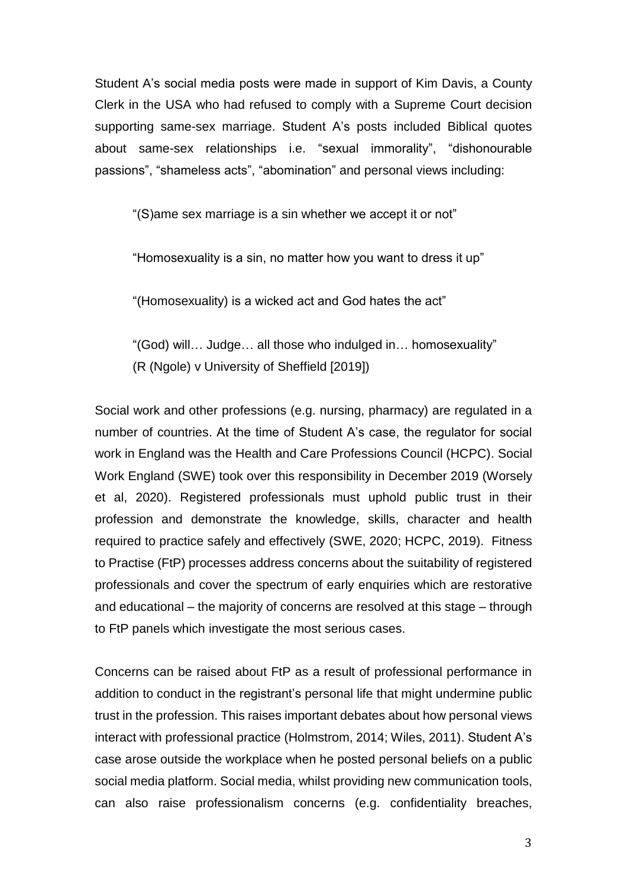Student A's social media posts were made in support of Kim Davis, a County Clerk in the USA who had refused to comply with a Supreme Court decision supporting same-sex marriage. Student A's posts included Biblical quotes about same-sex relationships i.e. "sexual immorality", "dishonourable passions", "shameless acts", "abomination" and personal views including:

"(S)ame sex marriage is a sin whether we accept it or not"

"Homosexuality is a sin, no matter how you want to dress it up"

"(Homosexuality) is a wicked act and God hates the act"

"(God) will… Judge… all those who indulged in… homosexuality"

(R (Ngole) v University of Sheffield [2019])

Social work and other professions (e.g. nursing, pharmacy) are regulated in a number of countries. At the time of Student A's case, the regulator for social work in England was the Health and Care Professions Council (HCPC). Social Work England (SWE) took over this responsibility in December 2019 (Worsely et al, 2020). Registered professionals must uphold public trust in their profession and demonstrate the knowledge, skills, character and health required to practice safely and effectively (SWE, 2020; HCPC, 2019). Fitness to Practise (FtP) processes address concerns about the suitability of registered professionals and cover the spectrum of early enquiries which are restorative and educational – the majority of concerns are resolved at this stage – through to FtP panels which investigate the most serious cases.

Concerns can be raised about FtP as a result of professional performance in addition to conduct in the registrant's personal life that might undermine public trust in the profession. This raises important debates about how personal views interact with professional practice (Holmstrom, 2014; Wiles, 2011). Student A's case arose outside the workplace when he posted personal beliefs on a public social media platform. Social media, whilst providing new communication tools, can also raise professionalism concerns (e.g. confidentiality breaches,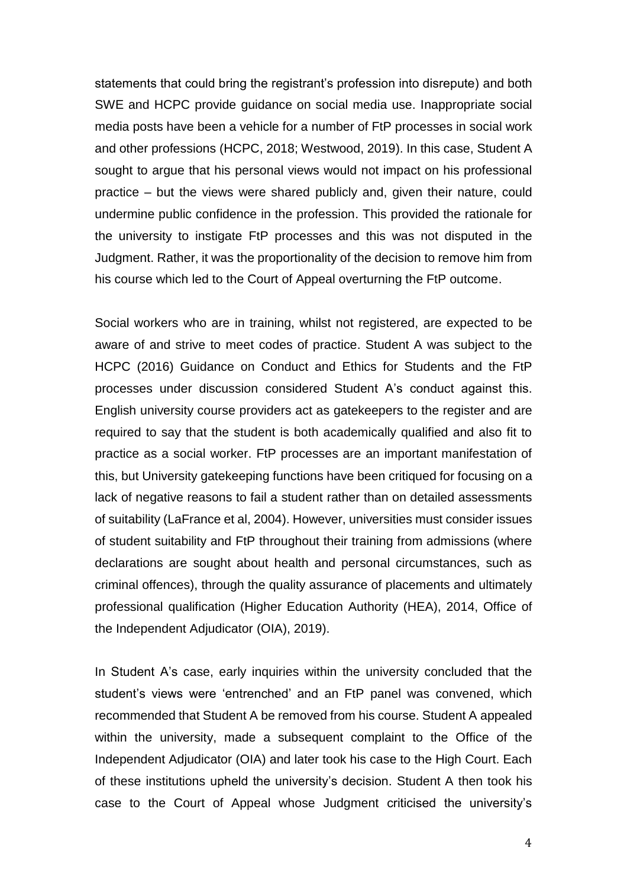statements that could bring the registrant's profession into disrepute) and both SWE and HCPC provide guidance on social media use. Inappropriate social media posts have been a vehicle for a number of FtP processes in social work and other professions (HCPC, 2018; Westwood, 2019). In this case, Student A sought to argue that his personal views would not impact on his professional practice – but the views were shared publicly and, given their nature, could undermine public confidence in the profession. This provided the rationale for the university to instigate FtP processes and this was not disputed in the Judgment. Rather, it was the proportionality of the decision to remove him from his course which led to the Court of Appeal overturning the FtP outcome.

Social workers who are in training, whilst not registered, are expected to be aware of and strive to meet codes of practice. Student A was subject to the HCPC (2016) Guidance on Conduct and Ethics for Students and the FtP processes under discussion considered Student A's conduct against this. English university course providers act as gatekeepers to the register and are required to say that the student is both academically qualified and also fit to practice as a social worker. FtP processes are an important manifestation of this, but University gatekeeping functions have been critiqued for focusing on a lack of negative reasons to fail a student rather than on detailed assessments of suitability (LaFrance et al, 2004). However, universities must consider issues of student suitability and FtP throughout their training from admissions (where declarations are sought about health and personal circumstances, such as criminal offences), through the quality assurance of placements and ultimately professional qualification (Higher Education Authority (HEA), 2014, Office of the Independent Adjudicator (OIA), 2019).

In Student A's case, early inquiries within the university concluded that the student's views were 'entrenched' and an FtP panel was convened, which recommended that Student A be removed from his course. Student A appealed within the university, made a subsequent complaint to the Office of the Independent Adjudicator (OIA) and later took his case to the High Court. Each of these institutions upheld the university's decision. Student A then took his case to the Court of Appeal whose Judgment criticised the university's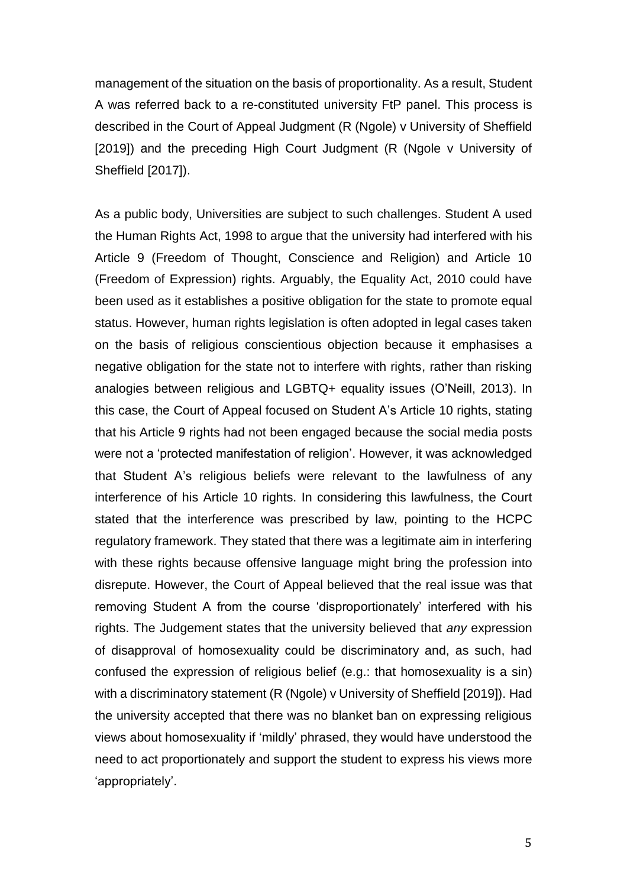management of the situation on the basis of proportionality. As a result, Student A was referred back to a re-constituted university FtP panel. This process is described in the Court of Appeal Judgment (R (Ngole) v University of Sheffield [2019]) and the preceding High Court Judgment (R (Ngole v University of Sheffield [2017]).

As a public body, Universities are subject to such challenges. Student A used the Human Rights Act, 1998 to argue that the university had interfered with his Article 9 (Freedom of Thought, Conscience and Religion) and Article 10 (Freedom of Expression) rights. Arguably, the Equality Act, 2010 could have been used as it establishes a positive obligation for the state to promote equal status. However, human rights legislation is often adopted in legal cases taken on the basis of religious conscientious objection because it emphasises a negative obligation for the state not to interfere with rights, rather than risking analogies between religious and LGBTQ+ equality issues (O'Neill, 2013). In this case, the Court of Appeal focused on Student A's Article 10 rights, stating that his Article 9 rights had not been engaged because the social media posts were not a 'protected manifestation of religion'. However, it was acknowledged that Student A's religious beliefs were relevant to the lawfulness of any interference of his Article 10 rights. In considering this lawfulness, the Court stated that the interference was prescribed by law, pointing to the HCPC regulatory framework. They stated that there was a legitimate aim in interfering with these rights because offensive language might bring the profession into disrepute. However, the Court of Appeal believed that the real issue was that removing Student A from the course 'disproportionately' interfered with his rights. The Judgement states that the university believed that *any* expression of disapproval of homosexuality could be discriminatory and, as such, had confused the expression of religious belief (e.g.: that homosexuality is a sin) with a discriminatory statement (R (Ngole) v University of Sheffield [2019]). Had the university accepted that there was no blanket ban on expressing religious views about homosexuality if 'mildly' phrased, they would have understood the need to act proportionately and support the student to express his views more 'appropriately'.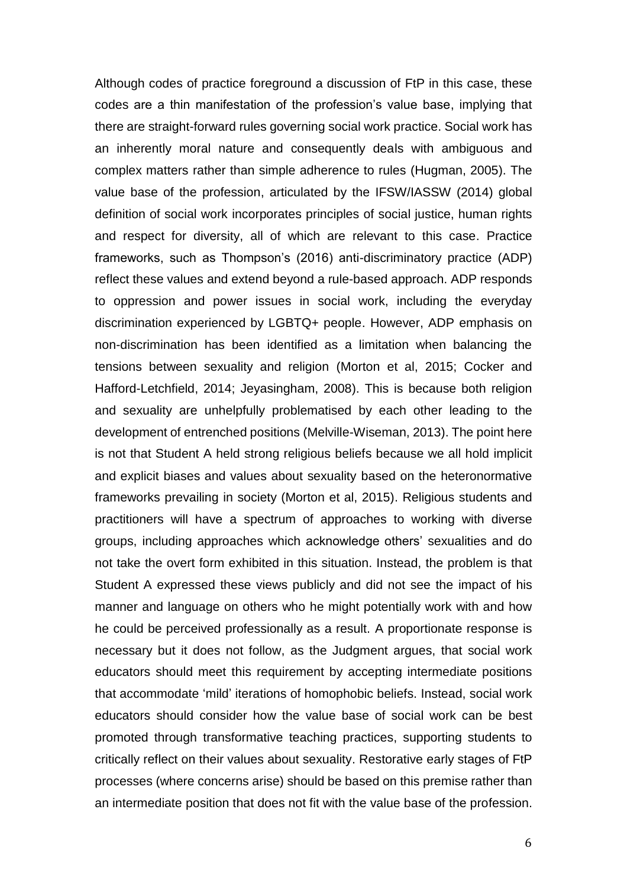Although codes of practice foreground a discussion of FtP in this case, these codes are a thin manifestation of the profession's value base, implying that there are straight-forward rules governing social work practice. Social work has an inherently moral nature and consequently deals with ambiguous and complex matters rather than simple adherence to rules (Hugman, 2005). The value base of the profession, articulated by the IFSW/IASSW (2014) global definition of social work incorporates principles of social justice, human rights and respect for diversity, all of which are relevant to this case. Practice frameworks, such as Thompson's (2016) anti-discriminatory practice (ADP) reflect these values and extend beyond a rule-based approach. ADP responds to oppression and power issues in social work, including the everyday discrimination experienced by LGBTQ+ people. However, ADP emphasis on non-discrimination has been identified as a limitation when balancing the tensions between sexuality and religion (Morton et al, 2015; Cocker and Hafford-Letchfield, 2014; Jeyasingham, 2008). This is because both religion and sexuality are unhelpfully problematised by each other leading to the development of entrenched positions (Melville-Wiseman, 2013). The point here is not that Student A held strong religious beliefs because we all hold implicit and explicit biases and values about sexuality based on the heteronormative frameworks prevailing in society (Morton et al, 2015). Religious students and practitioners will have a spectrum of approaches to working with diverse groups, including approaches which acknowledge others' sexualities and do not take the overt form exhibited in this situation. Instead, the problem is that Student A expressed these views publicly and did not see the impact of his manner and language on others who he might potentially work with and how he could be perceived professionally as a result. A proportionate response is necessary but it does not follow, as the Judgment argues, that social work educators should meet this requirement by accepting intermediate positions that accommodate 'mild' iterations of homophobic beliefs. Instead, social work educators should consider how the value base of social work can be best promoted through transformative teaching practices, supporting students to critically reflect on their values about sexuality. Restorative early stages of FtP processes (where concerns arise) should be based on this premise rather than an intermediate position that does not fit with the value base of the profession.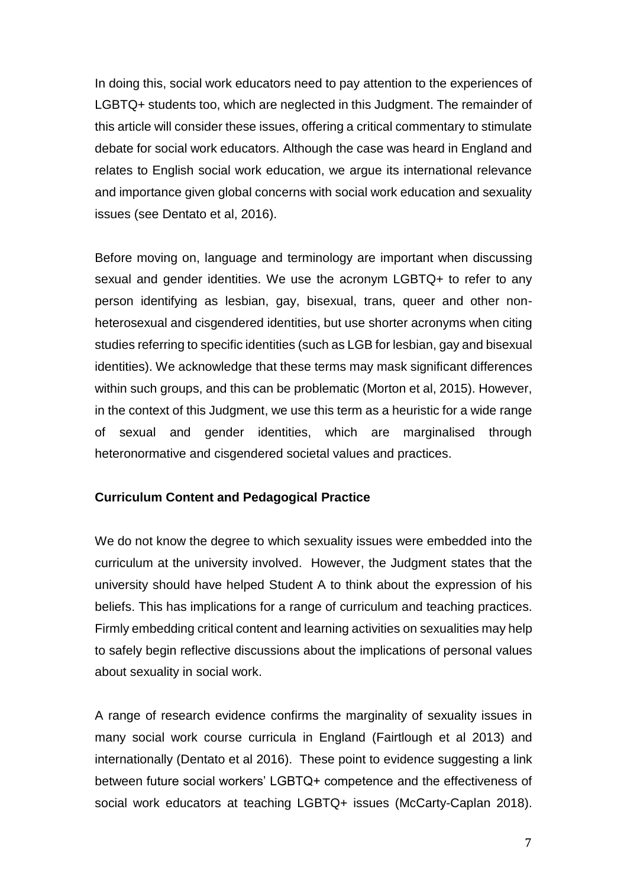In doing this, social work educators need to pay attention to the experiences of LGBTQ+ students too, which are neglected in this Judgment. The remainder of this article will consider these issues, offering a critical commentary to stimulate debate for social work educators. Although the case was heard in England and relates to English social work education, we argue its international relevance and importance given global concerns with social work education and sexuality issues (see Dentato et al, 2016).

Before moving on, language and terminology are important when discussing sexual and gender identities. We use the acronym LGBTQ+ to refer to any person identifying as lesbian, gay, bisexual, trans, queer and other nonheterosexual and cisgendered identities, but use shorter acronyms when citing studies referring to specific identities (such as LGB for lesbian, gay and bisexual identities). We acknowledge that these terms may mask significant differences within such groups, and this can be problematic (Morton et al, 2015). However, in the context of this Judgment, we use this term as a heuristic for a wide range of sexual and gender identities, which are marginalised through heteronormative and cisgendered societal values and practices.

### **Curriculum Content and Pedagogical Practice**

We do not know the degree to which sexuality issues were embedded into the curriculum at the university involved. However, the Judgment states that the university should have helped Student A to think about the expression of his beliefs. This has implications for a range of curriculum and teaching practices. Firmly embedding critical content and learning activities on sexualities may help to safely begin reflective discussions about the implications of personal values about sexuality in social work.

A range of research evidence confirms the marginality of sexuality issues in many social work course curricula in England (Fairtlough et al 2013) and internationally (Dentato et al 2016). These point to evidence suggesting a link between future social workers' LGBTQ+ competence and the effectiveness of social work educators at teaching LGBTQ+ issues (McCarty-Caplan 2018).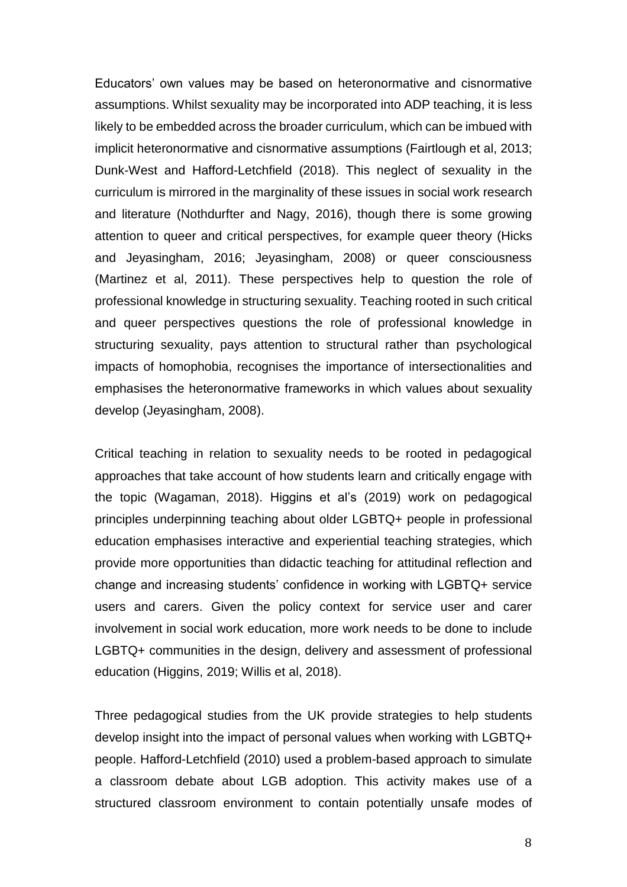Educators' own values may be based on heteronormative and cisnormative assumptions. Whilst sexuality may be incorporated into ADP teaching, it is less likely to be embedded across the broader curriculum, which can be imbued with implicit heteronormative and cisnormative assumptions (Fairtlough et al, 2013; Dunk-West and Hafford-Letchfield (2018). This neglect of sexuality in the curriculum is mirrored in the marginality of these issues in social work research and literature (Nothdurfter and Nagy, 2016), though there is some growing attention to queer and critical perspectives, for example queer theory (Hicks and Jeyasingham, 2016; Jeyasingham, 2008) or queer consciousness (Martinez et al, 2011). These perspectives help to question the role of professional knowledge in structuring sexuality. Teaching rooted in such critical and queer perspectives questions the role of professional knowledge in structuring sexuality, pays attention to structural rather than psychological impacts of homophobia, recognises the importance of intersectionalities and emphasises the heteronormative frameworks in which values about sexuality develop (Jeyasingham, 2008).

Critical teaching in relation to sexuality needs to be rooted in pedagogical approaches that take account of how students learn and critically engage with the topic (Wagaman, 2018). Higgins et al's (2019) work on pedagogical principles underpinning teaching about older LGBTQ+ people in professional education emphasises interactive and experiential teaching strategies, which provide more opportunities than didactic teaching for attitudinal reflection and change and increasing students' confidence in working with LGBTQ+ service users and carers. Given the policy context for service user and carer involvement in social work education, more work needs to be done to include LGBTQ+ communities in the design, delivery and assessment of professional education (Higgins, 2019; Willis et al, 2018).

Three pedagogical studies from the UK provide strategies to help students develop insight into the impact of personal values when working with LGBTQ+ people. Hafford-Letchfield (2010) used a problem-based approach to simulate a classroom debate about LGB adoption. This activity makes use of a structured classroom environment to contain potentially unsafe modes of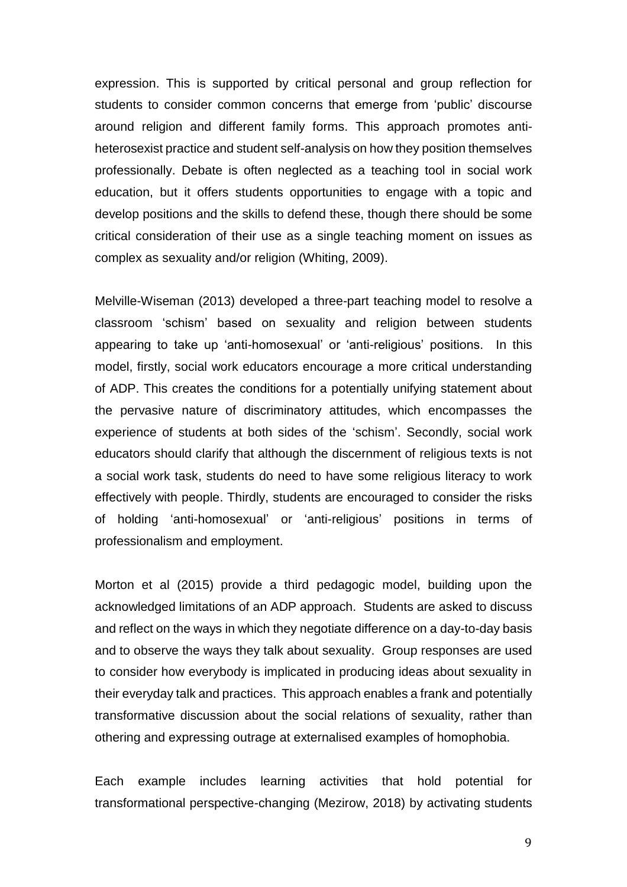expression. This is supported by critical personal and group reflection for students to consider common concerns that emerge from 'public' discourse around religion and different family forms. This approach promotes antiheterosexist practice and student self-analysis on how they position themselves professionally. Debate is often neglected as a teaching tool in social work education, but it offers students opportunities to engage with a topic and develop positions and the skills to defend these, though there should be some critical consideration of their use as a single teaching moment on issues as complex as sexuality and/or religion (Whiting, 2009).

Melville-Wiseman (2013) developed a three-part teaching model to resolve a classroom 'schism' based on sexuality and religion between students appearing to take up 'anti-homosexual' or 'anti-religious' positions. In this model, firstly, social work educators encourage a more critical understanding of ADP. This creates the conditions for a potentially unifying statement about the pervasive nature of discriminatory attitudes, which encompasses the experience of students at both sides of the 'schism'. Secondly, social work educators should clarify that although the discernment of religious texts is not a social work task, students do need to have some religious literacy to work effectively with people. Thirdly, students are encouraged to consider the risks of holding 'anti-homosexual' or 'anti-religious' positions in terms of professionalism and employment.

Morton et al (2015) provide a third pedagogic model, building upon the acknowledged limitations of an ADP approach. Students are asked to discuss and reflect on the ways in which they negotiate difference on a day-to-day basis and to observe the ways they talk about sexuality. Group responses are used to consider how everybody is implicated in producing ideas about sexuality in their everyday talk and practices. This approach enables a frank and potentially transformative discussion about the social relations of sexuality, rather than othering and expressing outrage at externalised examples of homophobia.

Each example includes learning activities that hold potential for transformational perspective-changing (Mezirow, 2018) by activating students

9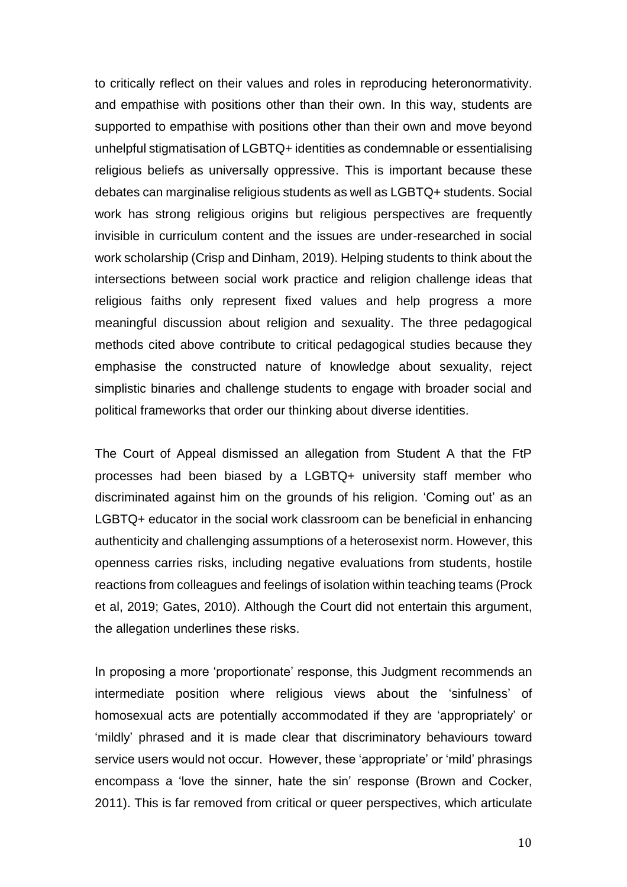to critically reflect on their values and roles in reproducing heteronormativity. and empathise with positions other than their own. In this way, students are supported to empathise with positions other than their own and move beyond unhelpful stigmatisation of LGBTQ+ identities as condemnable or essentialising religious beliefs as universally oppressive. This is important because these debates can marginalise religious students as well as LGBTQ+ students. Social work has strong religious origins but religious perspectives are frequently invisible in curriculum content and the issues are under-researched in social work scholarship (Crisp and Dinham, 2019). Helping students to think about the intersections between social work practice and religion challenge ideas that religious faiths only represent fixed values and help progress a more meaningful discussion about religion and sexuality. The three pedagogical methods cited above contribute to critical pedagogical studies because they emphasise the constructed nature of knowledge about sexuality, reject simplistic binaries and challenge students to engage with broader social and political frameworks that order our thinking about diverse identities.

The Court of Appeal dismissed an allegation from Student A that the FtP processes had been biased by a LGBTQ+ university staff member who discriminated against him on the grounds of his religion. 'Coming out' as an LGBTQ+ educator in the social work classroom can be beneficial in enhancing authenticity and challenging assumptions of a heterosexist norm. However, this openness carries risks, including negative evaluations from students, hostile reactions from colleagues and feelings of isolation within teaching teams (Prock et al, 2019; Gates, 2010). Although the Court did not entertain this argument, the allegation underlines these risks.

In proposing a more 'proportionate' response, this Judgment recommends an intermediate position where religious views about the 'sinfulness' of homosexual acts are potentially accommodated if they are 'appropriately' or 'mildly' phrased and it is made clear that discriminatory behaviours toward service users would not occur. However, these 'appropriate' or 'mild' phrasings encompass a 'love the sinner, hate the sin' response (Brown and Cocker, 2011). This is far removed from critical or queer perspectives, which articulate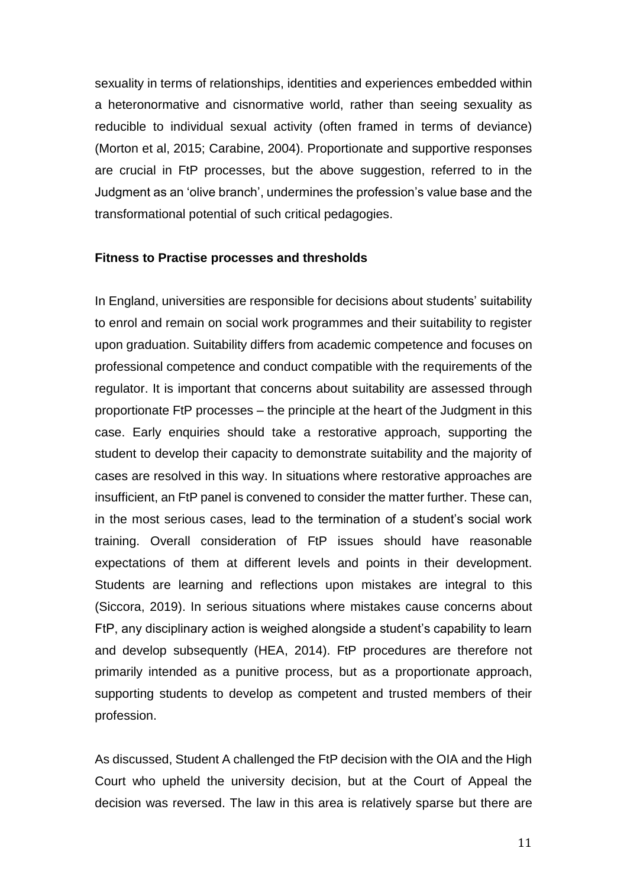sexuality in terms of relationships, identities and experiences embedded within a heteronormative and cisnormative world, rather than seeing sexuality as reducible to individual sexual activity (often framed in terms of deviance) (Morton et al, 2015; Carabine, 2004). Proportionate and supportive responses are crucial in FtP processes, but the above suggestion, referred to in the Judgment as an 'olive branch', undermines the profession's value base and the transformational potential of such critical pedagogies.

#### **Fitness to Practise processes and thresholds**

In England, universities are responsible for decisions about students' suitability to enrol and remain on social work programmes and their suitability to register upon graduation. Suitability differs from academic competence and focuses on professional competence and conduct compatible with the requirements of the regulator. It is important that concerns about suitability are assessed through proportionate FtP processes – the principle at the heart of the Judgment in this case. Early enquiries should take a restorative approach, supporting the student to develop their capacity to demonstrate suitability and the majority of cases are resolved in this way. In situations where restorative approaches are insufficient, an FtP panel is convened to consider the matter further. These can, in the most serious cases, lead to the termination of a student's social work training. Overall consideration of FtP issues should have reasonable expectations of them at different levels and points in their development. Students are learning and reflections upon mistakes are integral to this (Siccora, 2019). In serious situations where mistakes cause concerns about FtP, any disciplinary action is weighed alongside a student's capability to learn and develop subsequently (HEA, 2014). FtP procedures are therefore not primarily intended as a punitive process, but as a proportionate approach, supporting students to develop as competent and trusted members of their profession.

As discussed, Student A challenged the FtP decision with the OIA and the High Court who upheld the university decision, but at the Court of Appeal the decision was reversed. The law in this area is relatively sparse but there are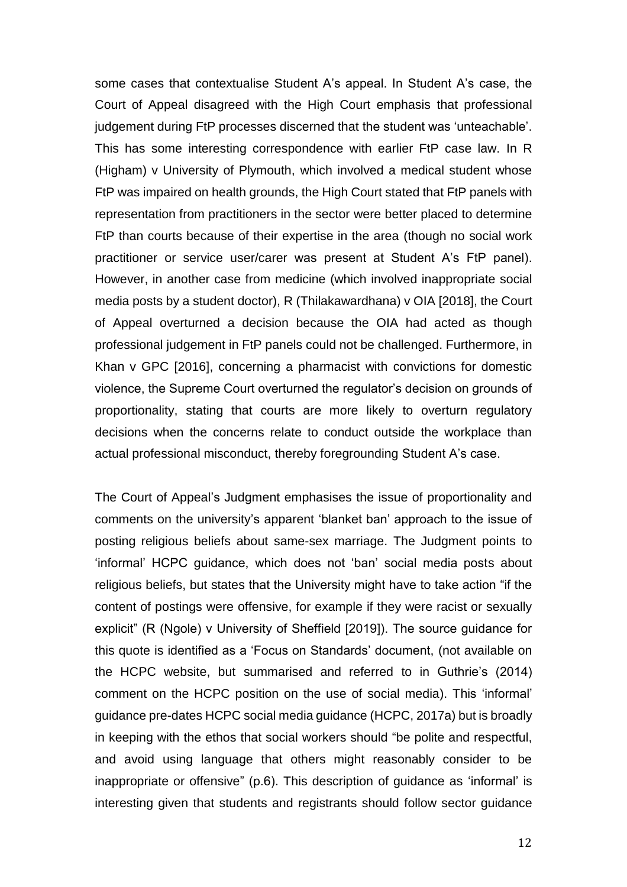some cases that contextualise Student A's appeal. In Student A's case, the Court of Appeal disagreed with the High Court emphasis that professional judgement during FtP processes discerned that the student was 'unteachable'. This has some interesting correspondence with earlier FtP case law. In R (Higham) v University of Plymouth, which involved a medical student whose FtP was impaired on health grounds, the High Court stated that FtP panels with representation from practitioners in the sector were better placed to determine FtP than courts because of their expertise in the area (though no social work practitioner or service user/carer was present at Student A's FtP panel). However, in another case from medicine (which involved inappropriate social media posts by a student doctor), R (Thilakawardhana) v OIA [2018], the Court of Appeal overturned a decision because the OIA had acted as though professional judgement in FtP panels could not be challenged. Furthermore, in Khan v GPC [2016], concerning a pharmacist with convictions for domestic violence, the Supreme Court overturned the regulator's decision on grounds of proportionality, stating that courts are more likely to overturn regulatory decisions when the concerns relate to conduct outside the workplace than actual professional misconduct, thereby foregrounding Student A's case.

The Court of Appeal's Judgment emphasises the issue of proportionality and comments on the university's apparent 'blanket ban' approach to the issue of posting religious beliefs about same-sex marriage. The Judgment points to 'informal' HCPC guidance, which does not 'ban' social media posts about religious beliefs, but states that the University might have to take action "if the content of postings were offensive, for example if they were racist or sexually explicit" (R (Ngole) v University of Sheffield [2019]). The source guidance for this quote is identified as a 'Focus on Standards' document, (not available on the HCPC website, but summarised and referred to in Guthrie's (2014) comment on the HCPC position on the use of social media). This 'informal' guidance pre-dates HCPC social media guidance (HCPC, 2017a) but is broadly in keeping with the ethos that social workers should "be polite and respectful, and avoid using language that others might reasonably consider to be inappropriate or offensive" (p.6). This description of guidance as 'informal' is interesting given that students and registrants should follow sector guidance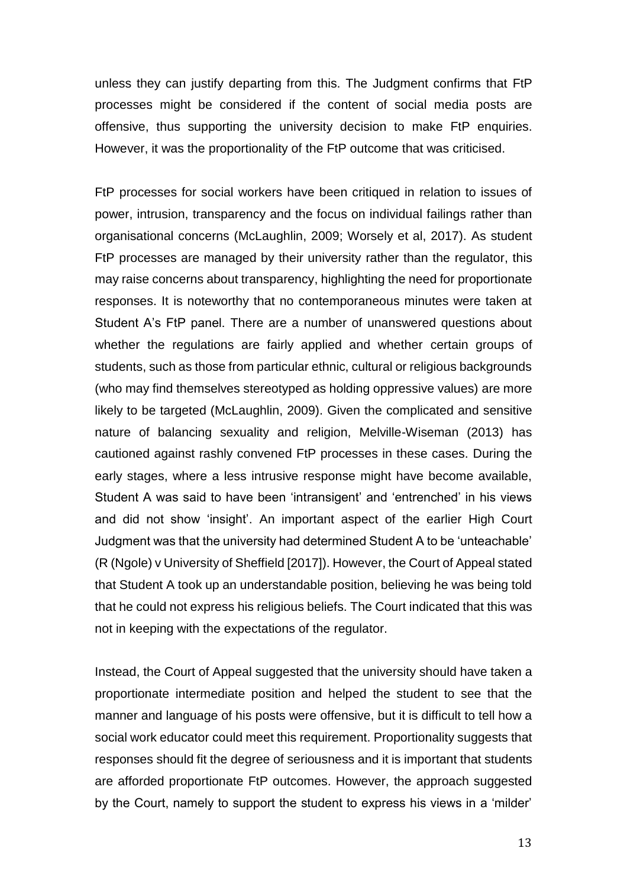unless they can justify departing from this. The Judgment confirms that FtP processes might be considered if the content of social media posts are offensive, thus supporting the university decision to make FtP enquiries. However, it was the proportionality of the FtP outcome that was criticised.

FtP processes for social workers have been critiqued in relation to issues of power, intrusion, transparency and the focus on individual failings rather than organisational concerns (McLaughlin, 2009; Worsely et al, 2017). As student FtP processes are managed by their university rather than the regulator, this may raise concerns about transparency, highlighting the need for proportionate responses. It is noteworthy that no contemporaneous minutes were taken at Student A's FtP panel. There are a number of unanswered questions about whether the regulations are fairly applied and whether certain groups of students, such as those from particular ethnic, cultural or religious backgrounds (who may find themselves stereotyped as holding oppressive values) are more likely to be targeted (McLaughlin, 2009). Given the complicated and sensitive nature of balancing sexuality and religion, Melville-Wiseman (2013) has cautioned against rashly convened FtP processes in these cases. During the early stages, where a less intrusive response might have become available, Student A was said to have been 'intransigent' and 'entrenched' in his views and did not show 'insight'. An important aspect of the earlier High Court Judgment was that the university had determined Student A to be 'unteachable' (R (Ngole) v University of Sheffield [2017]). However, the Court of Appeal stated that Student A took up an understandable position, believing he was being told that he could not express his religious beliefs. The Court indicated that this was not in keeping with the expectations of the regulator.

Instead, the Court of Appeal suggested that the university should have taken a proportionate intermediate position and helped the student to see that the manner and language of his posts were offensive, but it is difficult to tell how a social work educator could meet this requirement. Proportionality suggests that responses should fit the degree of seriousness and it is important that students are afforded proportionate FtP outcomes. However, the approach suggested by the Court, namely to support the student to express his views in a 'milder'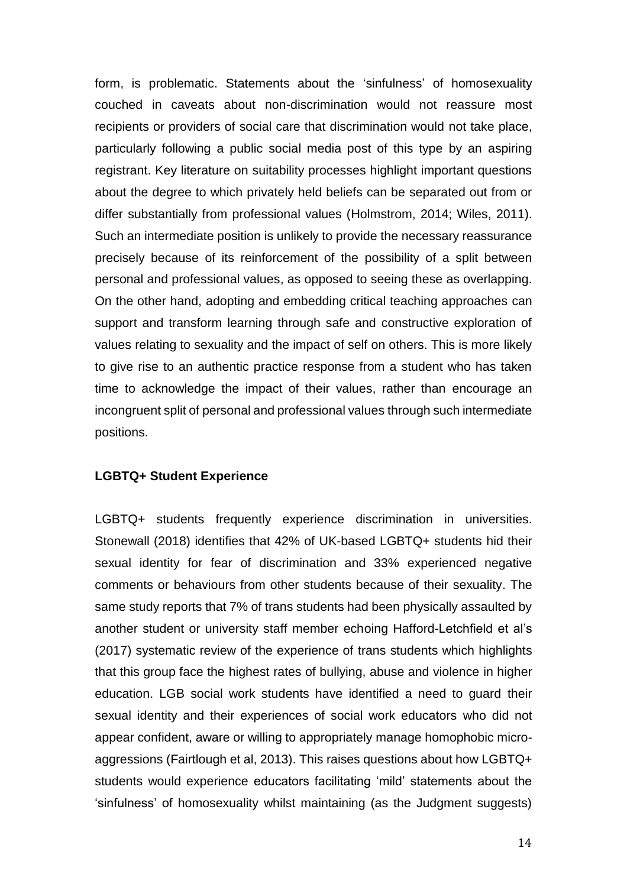form, is problematic. Statements about the 'sinfulness' of homosexuality couched in caveats about non-discrimination would not reassure most recipients or providers of social care that discrimination would not take place, particularly following a public social media post of this type by an aspiring registrant. Key literature on suitability processes highlight important questions about the degree to which privately held beliefs can be separated out from or differ substantially from professional values (Holmstrom, 2014; Wiles, 2011). Such an intermediate position is unlikely to provide the necessary reassurance precisely because of its reinforcement of the possibility of a split between personal and professional values, as opposed to seeing these as overlapping. On the other hand, adopting and embedding critical teaching approaches can support and transform learning through safe and constructive exploration of values relating to sexuality and the impact of self on others. This is more likely to give rise to an authentic practice response from a student who has taken time to acknowledge the impact of their values, rather than encourage an incongruent split of personal and professional values through such intermediate positions.

#### **LGBTQ+ Student Experience**

LGBTQ+ students frequently experience discrimination in universities. Stonewall (2018) identifies that 42% of UK-based LGBTQ+ students hid their sexual identity for fear of discrimination and 33% experienced negative comments or behaviours from other students because of their sexuality. The same study reports that 7% of trans students had been physically assaulted by another student or university staff member echoing Hafford-Letchfield et al's (2017) systematic review of the experience of trans students which highlights that this group face the highest rates of bullying, abuse and violence in higher education. LGB social work students have identified a need to guard their sexual identity and their experiences of social work educators who did not appear confident, aware or willing to appropriately manage homophobic microaggressions (Fairtlough et al, 2013). This raises questions about how LGBTQ+ students would experience educators facilitating 'mild' statements about the 'sinfulness' of homosexuality whilst maintaining (as the Judgment suggests)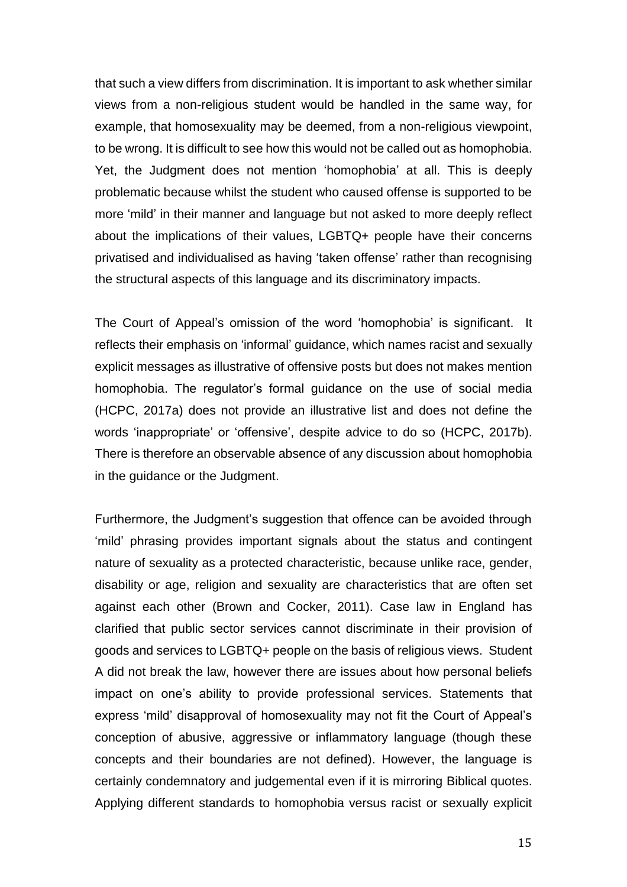that such a view differs from discrimination. It is important to ask whether similar views from a non-religious student would be handled in the same way, for example, that homosexuality may be deemed, from a non-religious viewpoint, to be wrong. It is difficult to see how this would not be called out as homophobia. Yet, the Judgment does not mention 'homophobia' at all. This is deeply problematic because whilst the student who caused offense is supported to be more 'mild' in their manner and language but not asked to more deeply reflect about the implications of their values, LGBTQ+ people have their concerns privatised and individualised as having 'taken offense' rather than recognising the structural aspects of this language and its discriminatory impacts.

The Court of Appeal's omission of the word 'homophobia' is significant. It reflects their emphasis on 'informal' guidance, which names racist and sexually explicit messages as illustrative of offensive posts but does not makes mention homophobia. The regulator's formal guidance on the use of social media (HCPC, 2017a) does not provide an illustrative list and does not define the words 'inappropriate' or 'offensive', despite advice to do so (HCPC, 2017b). There is therefore an observable absence of any discussion about homophobia in the guidance or the Judgment.

Furthermore, the Judgment's suggestion that offence can be avoided through 'mild' phrasing provides important signals about the status and contingent nature of sexuality as a protected characteristic, because unlike race, gender, disability or age, religion and sexuality are characteristics that are often set against each other (Brown and Cocker, 2011). Case law in England has clarified that public sector services cannot discriminate in their provision of goods and services to LGBTQ+ people on the basis of religious views. Student A did not break the law, however there are issues about how personal beliefs impact on one's ability to provide professional services. Statements that express 'mild' disapproval of homosexuality may not fit the Court of Appeal's conception of abusive, aggressive or inflammatory language (though these concepts and their boundaries are not defined). However, the language is certainly condemnatory and judgemental even if it is mirroring Biblical quotes. Applying different standards to homophobia versus racist or sexually explicit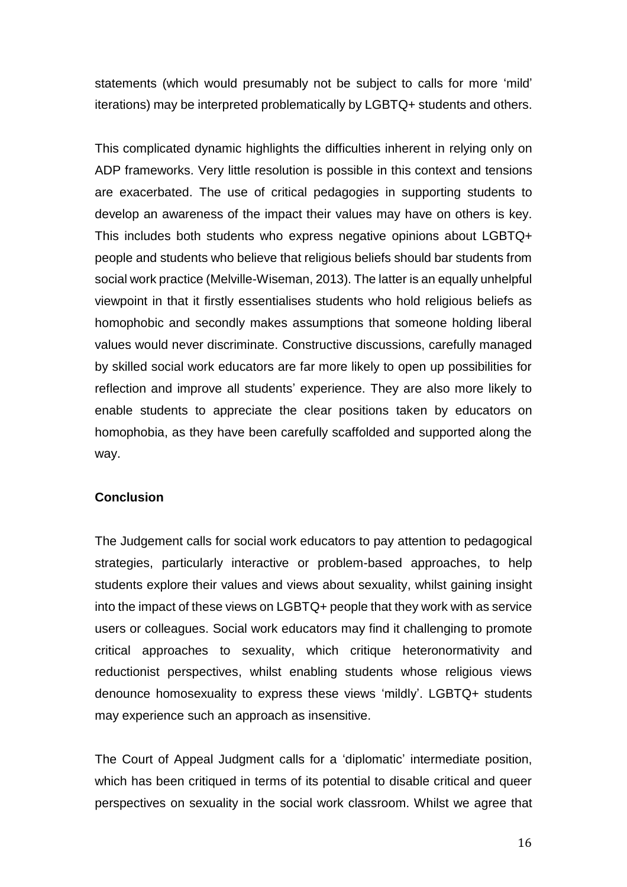statements (which would presumably not be subject to calls for more 'mild' iterations) may be interpreted problematically by LGBTQ+ students and others.

This complicated dynamic highlights the difficulties inherent in relying only on ADP frameworks. Very little resolution is possible in this context and tensions are exacerbated. The use of critical pedagogies in supporting students to develop an awareness of the impact their values may have on others is key. This includes both students who express negative opinions about LGBTQ+ people and students who believe that religious beliefs should bar students from social work practice (Melville-Wiseman, 2013). The latter is an equally unhelpful viewpoint in that it firstly essentialises students who hold religious beliefs as homophobic and secondly makes assumptions that someone holding liberal values would never discriminate. Constructive discussions, carefully managed by skilled social work educators are far more likely to open up possibilities for reflection and improve all students' experience. They are also more likely to enable students to appreciate the clear positions taken by educators on homophobia, as they have been carefully scaffolded and supported along the way.

### **Conclusion**

The Judgement calls for social work educators to pay attention to pedagogical strategies, particularly interactive or problem-based approaches, to help students explore their values and views about sexuality, whilst gaining insight into the impact of these views on LGBTQ+ people that they work with as service users or colleagues. Social work educators may find it challenging to promote critical approaches to sexuality, which critique heteronormativity and reductionist perspectives, whilst enabling students whose religious views denounce homosexuality to express these views 'mildly'. LGBTQ+ students may experience such an approach as insensitive.

The Court of Appeal Judgment calls for a 'diplomatic' intermediate position, which has been critiqued in terms of its potential to disable critical and queer perspectives on sexuality in the social work classroom. Whilst we agree that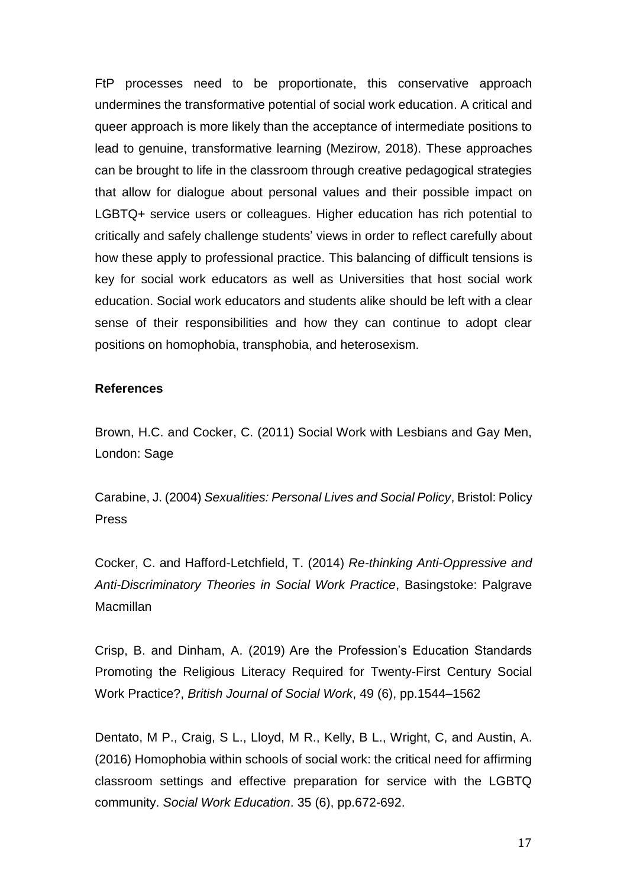FtP processes need to be proportionate, this conservative approach undermines the transformative potential of social work education. A critical and queer approach is more likely than the acceptance of intermediate positions to lead to genuine, transformative learning (Mezirow, 2018). These approaches can be brought to life in the classroom through creative pedagogical strategies that allow for dialogue about personal values and their possible impact on LGBTQ+ service users or colleagues. Higher education has rich potential to critically and safely challenge students' views in order to reflect carefully about how these apply to professional practice. This balancing of difficult tensions is key for social work educators as well as Universities that host social work education. Social work educators and students alike should be left with a clear sense of their responsibilities and how they can continue to adopt clear positions on homophobia, transphobia, and heterosexism.

#### **References**

Brown, H.C. and Cocker, C. (2011) Social Work with Lesbians and Gay Men, London: Sage

Carabine, J. (2004) *Sexualities: Personal Lives and Social Policy*, Bristol: Policy Press

Cocker, C. and Hafford-Letchfield, T. (2014) *Re-thinking Anti-Oppressive and Anti-Discriminatory Theories in Social Work Practice*, Basingstoke: Palgrave **Macmillan** 

Crisp, B. and Dinham, A. (2019) Are the Profession's Education Standards Promoting the Religious Literacy Required for Twenty-First Century Social Work Practice?, *British Journal of Social Work*, 49 (6), pp.1544–1562

Dentato, M P., Craig, S L., Lloyd, M R., Kelly, B L., Wright, C, and Austin, A. (2016) Homophobia within schools of social work: the critical need for affirming classroom settings and effective preparation for service with the LGBTQ community. *Social Work Education*. 35 (6), pp.672-692.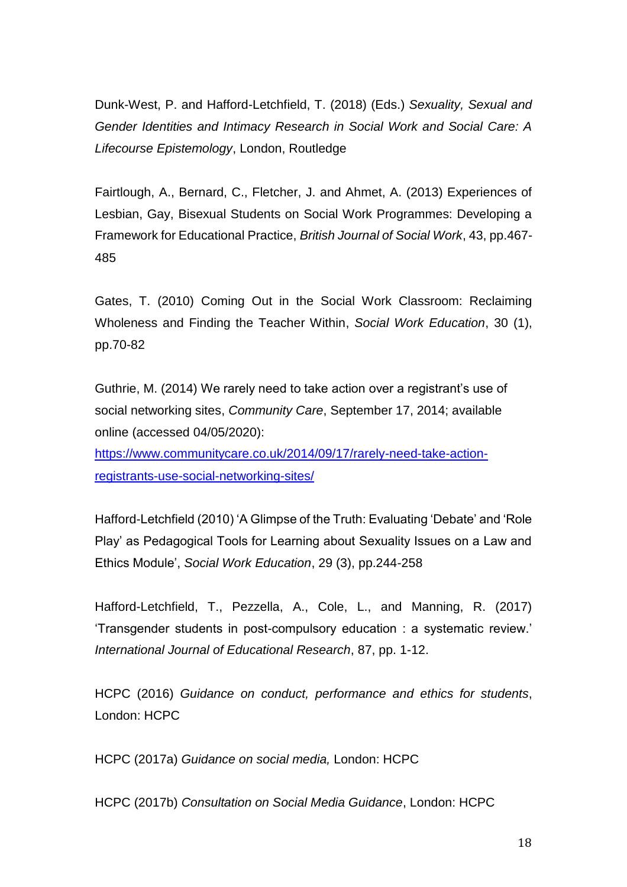Dunk-West, P. and Hafford-Letchfield, T. (2018) (Eds.) *Sexuality, Sexual and Gender Identities and Intimacy Research in Social Work and Social Care: A Lifecourse Epistemology*, London, Routledge

Fairtlough, A., Bernard, C., Fletcher, J. and Ahmet, A. (2013) Experiences of Lesbian, Gay, Bisexual Students on Social Work Programmes: Developing a Framework for Educational Practice, *British Journal of Social Work*, 43, pp.467- 485

Gates, T. (2010) Coming Out in the Social Work Classroom: Reclaiming Wholeness and Finding the Teacher Within, *Social Work Education*, 30 (1), pp.70-82

Guthrie, M. (2014) We rarely need to take action over a registrant's use of social networking sites, *Community Care*, September 17, 2014; available online (accessed 04/05/2020):

[https://www.communitycare.co.uk/2014/09/17/rarely-need-take-action](https://www.communitycare.co.uk/2014/09/17/rarely-need-take-action-registrants-use-social-networking-sites/)[registrants-use-social-networking-sites/](https://www.communitycare.co.uk/2014/09/17/rarely-need-take-action-registrants-use-social-networking-sites/)

Hafford-Letchfield (2010) 'A Glimpse of the Truth: Evaluating 'Debate' and 'Role Play' as Pedagogical Tools for Learning about Sexuality Issues on a Law and Ethics Module', *Social Work Education*, 29 (3), pp.244-258

Hafford-Letchfield, T., Pezzella, A., Cole, L., and Manning, R. (2017) 'Transgender students in post-compulsory education : a systematic review.' *International Journal of Educational Research*, 87, pp. 1-12.

HCPC (2016) *Guidance on conduct, performance and ethics for students*, London: HCPC

HCPC (2017a) *Guidance on social media,* London: HCPC

HCPC (2017b) *Consultation on Social Media Guidance*, London: HCPC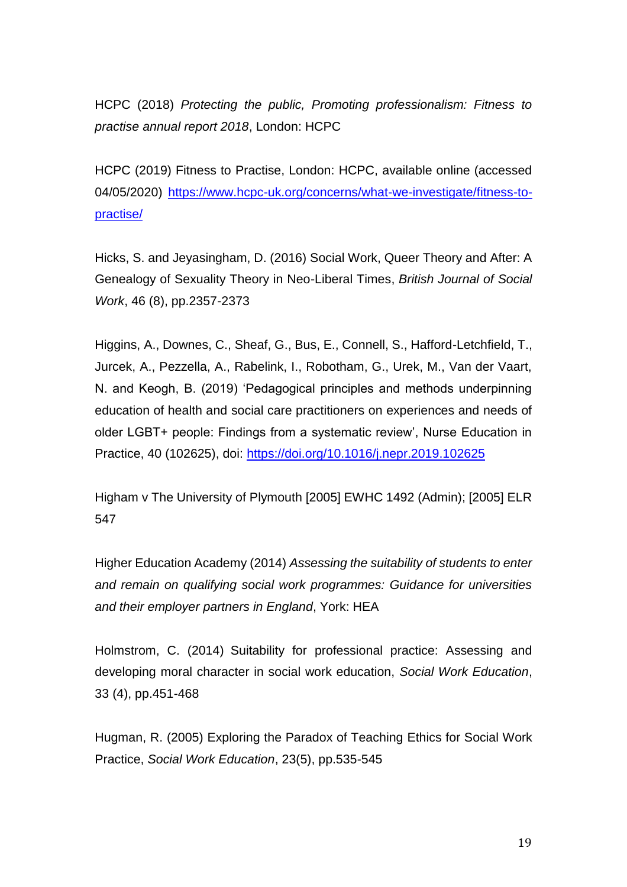HCPC (2018) *Protecting the public, Promoting professionalism: Fitness to practise annual report 2018*, London: HCPC

HCPC (2019) Fitness to Practise, London: HCPC, available online (accessed 04/05/2020) [https://www.hcpc-uk.org/concerns/what-we-investigate/fitness-to](https://www.hcpc-uk.org/concerns/what-we-investigate/fitness-to-practise/)[practise/](https://www.hcpc-uk.org/concerns/what-we-investigate/fitness-to-practise/)

Hicks, S. and Jeyasingham, D. (2016) Social Work, Queer Theory and After: A Genealogy of Sexuality Theory in Neo-Liberal Times, *British Journal of Social Work*, 46 (8), pp.2357-2373

Higgins, A., Downes, C., Sheaf, G., Bus, E., Connell, S., Hafford-Letchfield, T., Jurcek, A., Pezzella, A., Rabelink, I., Robotham, G., Urek, M., Van der Vaart, N. and Keogh, B. (2019) 'Pedagogical principles and methods underpinning education of health and social care practitioners on experiences and needs of older LGBT+ people: Findings from a systematic review', Nurse Education in Practice, 40 (102625), doi:<https://doi.org/10.1016/j.nepr.2019.102625>

Higham v The University of Plymouth [2005] EWHC 1492 (Admin); [2005] ELR 547

Higher Education Academy (2014) *Assessing the suitability of students to enter and remain on qualifying social work programmes: Guidance for universities and their employer partners in England*, York: HEA

Holmstrom, C. (2014) Suitability for professional practice: Assessing and developing moral character in social work education, *Social Work Education*, 33 (4), pp.451-468

Hugman, R. (2005) Exploring the Paradox of Teaching Ethics for Social Work Practice, *Social Work Education*, 23(5), pp.535-545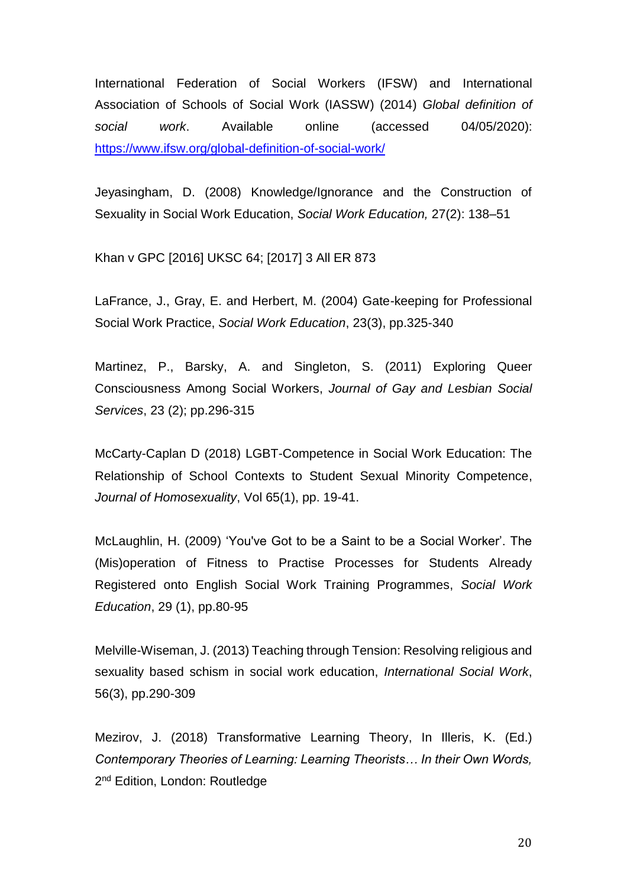International Federation of Social Workers (IFSW) and International Association of Schools of Social Work (IASSW) (2014) *Global definition of social work*. Available online (accessed 04/05/2020): <https://www.ifsw.org/global-definition-of-social-work/>

Jeyasingham, D. (2008) Knowledge/Ignorance and the Construction of Sexuality in Social Work Education, *Social Work Education,* 27(2): 138–51

Khan v GPC [2016] UKSC 64; [2017] 3 All ER 873

LaFrance, J., Gray, E. and Herbert, M. (2004) Gate-keeping for Professional Social Work Practice, *Social Work Education*, 23(3), pp.325-340

Martinez, P., Barsky, A. and Singleton, S. (2011) Exploring Queer Consciousness Among Social Workers, *Journal of Gay and Lesbian Social Services*, 23 (2); pp.296-315

McCarty-Caplan D (2018) LGBT-Competence in Social Work Education: The Relationship of School Contexts to Student Sexual Minority Competence, *Journal of Homosexuality*, Vol 65(1), pp. 19-41.

McLaughlin, H. (2009) 'You've Got to be a Saint to be a Social Worker'. The (Mis)operation of Fitness to Practise Processes for Students Already Registered onto English Social Work Training Programmes, *Social Work Education*, 29 (1), pp.80-95

Melville-Wiseman, J. (2013) Teaching through Tension: Resolving religious and sexuality based schism in social work education, *International Social Work*, 56(3), pp.290-309

Mezirov, J. (2018) Transformative Learning Theory, In Illeris, K. (Ed.) *Contemporary Theories of Learning: Learning Theorists… In their Own Words,*  2<sup>nd</sup> Edition, London: Routledge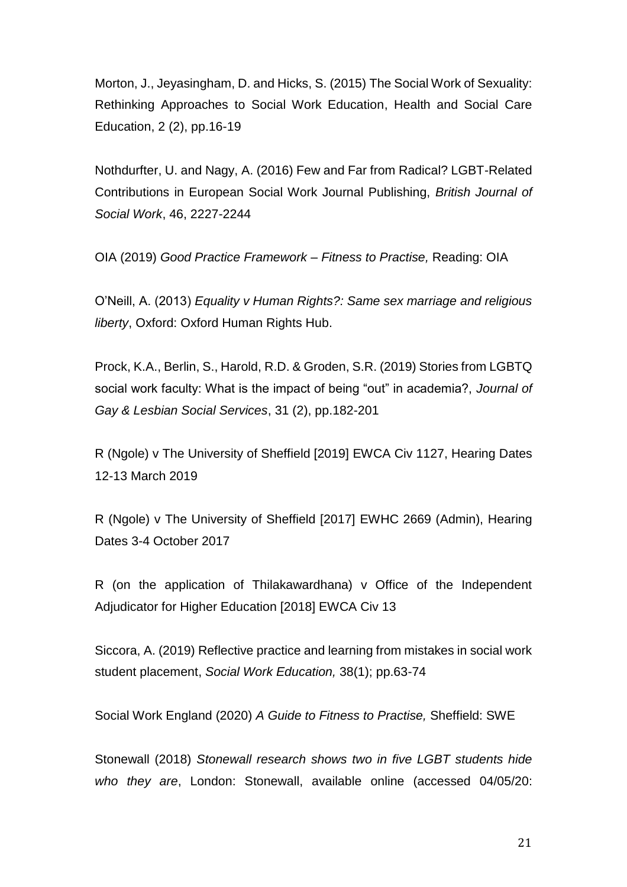Morton, J., Jeyasingham, D. and Hicks, S. (2015) The Social Work of Sexuality: Rethinking Approaches to Social Work Education, Health and Social Care Education, 2 (2), pp.16-19

Nothdurfter, U. and Nagy, A. (2016) Few and Far from Radical? LGBT-Related Contributions in European Social Work Journal Publishing, *British Journal of Social Work*, 46, 2227-2244

OIA (2019) *Good Practice Framework – Fitness to Practise,* Reading: OIA

O'Neill, A. (2013) *Equality v Human Rights?: Same sex marriage and religious liberty*, Oxford: Oxford Human Rights Hub.

Prock, K.A., Berlin, S., Harold, R.D. & Groden, S.R. (2019) Stories from LGBTQ social work faculty: What is the impact of being "out" in academia?, *Journal of Gay & Lesbian Social Services*, 31 (2), pp.182-201

R (Ngole) v The University of Sheffield [2019] EWCA Civ 1127, Hearing Dates 12-13 March 2019

R (Ngole) v The University of Sheffield [2017] EWHC 2669 (Admin), Hearing Dates 3-4 October 2017

R (on the application of Thilakawardhana) v Office of the Independent Adjudicator for Higher Education [2018] EWCA Civ 13

Siccora, A. (2019) Reflective practice and learning from mistakes in social work student placement, *Social Work Education,* 38(1); pp.63-74

Social Work England (2020) *A Guide to Fitness to Practise,* Sheffield: SWE

Stonewall (2018) *Stonewall research shows two in five LGBT students hide who they are*, London: Stonewall, available online (accessed 04/05/20: